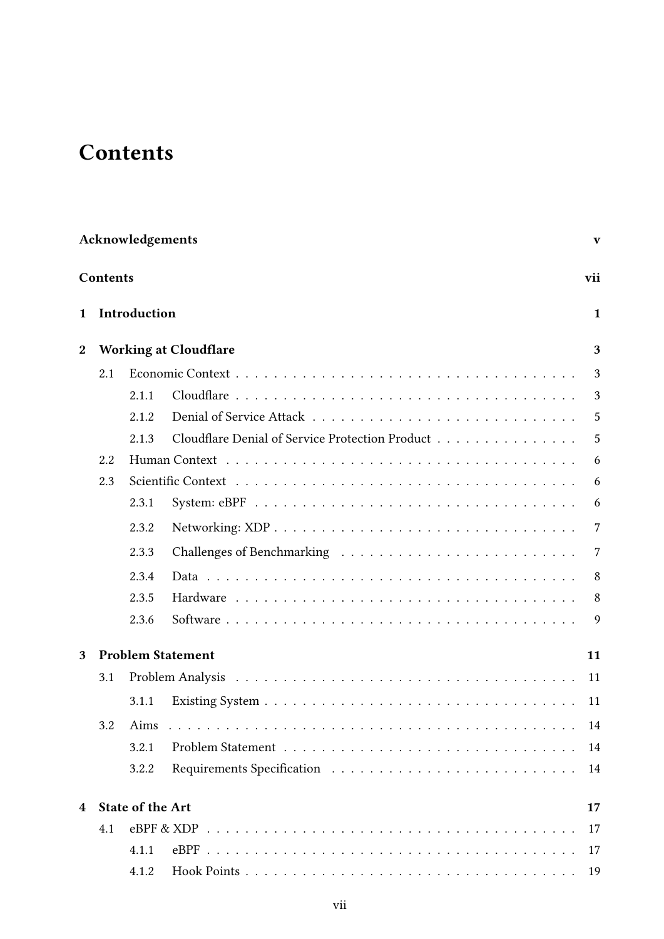## **Contents**

|                  | Acknowledgements<br>$\mathbf{V}$ |                         |                                                 |              |  |  |  |  |  |  |  |  |  |
|------------------|----------------------------------|-------------------------|-------------------------------------------------|--------------|--|--|--|--|--|--|--|--|--|
|                  | Contents                         |                         |                                                 | vii          |  |  |  |  |  |  |  |  |  |
| $\mathbf{1}$     |                                  | Introduction            |                                                 | $\mathbf{1}$ |  |  |  |  |  |  |  |  |  |
| $\boldsymbol{2}$ |                                  |                         | <b>Working at Cloudflare</b>                    | 3            |  |  |  |  |  |  |  |  |  |
|                  | 2.1                              |                         |                                                 |              |  |  |  |  |  |  |  |  |  |
|                  |                                  | 2.1.1                   |                                                 | 3            |  |  |  |  |  |  |  |  |  |
|                  |                                  | 2.1.2                   |                                                 | 5            |  |  |  |  |  |  |  |  |  |
|                  |                                  | 2.1.3                   | Cloudflare Denial of Service Protection Product | 5            |  |  |  |  |  |  |  |  |  |
|                  | 2.2                              |                         |                                                 | 6            |  |  |  |  |  |  |  |  |  |
|                  | 2.3                              |                         |                                                 | 6            |  |  |  |  |  |  |  |  |  |
|                  |                                  | 2.3.1                   |                                                 | 6            |  |  |  |  |  |  |  |  |  |
|                  |                                  | 2.3.2                   |                                                 | 7            |  |  |  |  |  |  |  |  |  |
|                  |                                  | 2.3.3                   |                                                 | 7            |  |  |  |  |  |  |  |  |  |
|                  |                                  | 2.3.4                   |                                                 | 8            |  |  |  |  |  |  |  |  |  |
|                  |                                  | 2.3.5                   |                                                 | 8            |  |  |  |  |  |  |  |  |  |
|                  |                                  | 2.3.6                   |                                                 | 9            |  |  |  |  |  |  |  |  |  |
| 3                | <b>Problem Statement</b>         |                         |                                                 |              |  |  |  |  |  |  |  |  |  |
|                  | 3.1                              |                         |                                                 | 11           |  |  |  |  |  |  |  |  |  |
|                  |                                  | 3.1.1                   |                                                 | 11           |  |  |  |  |  |  |  |  |  |
|                  | 3.2                              | Aims                    |                                                 | 14           |  |  |  |  |  |  |  |  |  |
|                  |                                  | 3.2.1                   |                                                 | 14           |  |  |  |  |  |  |  |  |  |
|                  |                                  | 3.2.2                   |                                                 | 14           |  |  |  |  |  |  |  |  |  |
| 4                |                                  | <b>State of the Art</b> |                                                 | 17           |  |  |  |  |  |  |  |  |  |
|                  | 4.1                              |                         |                                                 | 17           |  |  |  |  |  |  |  |  |  |
|                  |                                  | 4.1.1                   |                                                 | 17           |  |  |  |  |  |  |  |  |  |
|                  |                                  | 4.1.2                   |                                                 | 19           |  |  |  |  |  |  |  |  |  |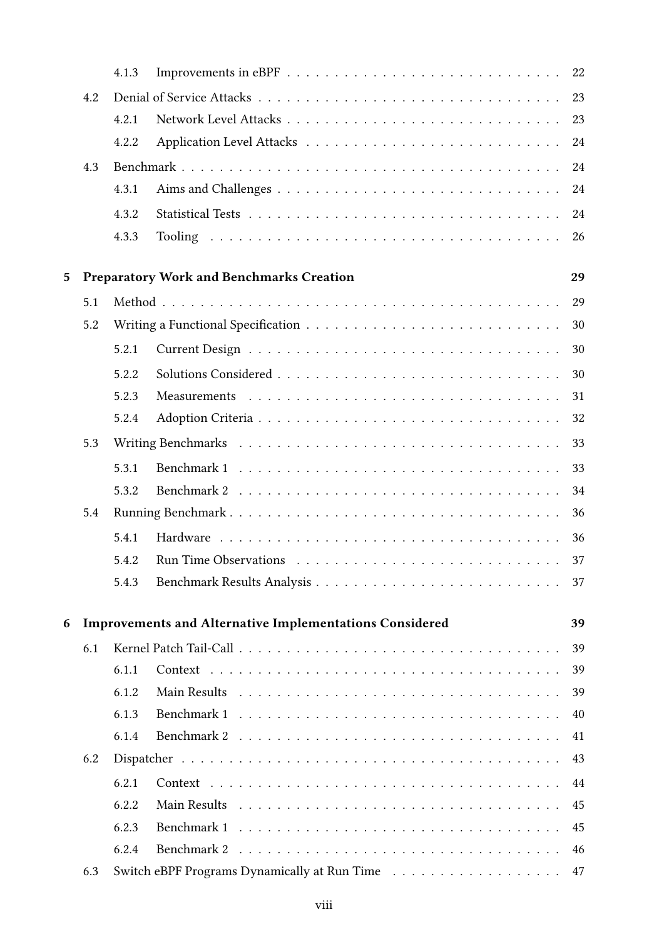|   |     | 4.1.3                                                                |                                                 | 22 |  |  |  |  |  |  |  |  |  |
|---|-----|----------------------------------------------------------------------|-------------------------------------------------|----|--|--|--|--|--|--|--|--|--|
|   | 4.2 |                                                                      |                                                 | 23 |  |  |  |  |  |  |  |  |  |
|   |     | 4.2.1                                                                |                                                 | 23 |  |  |  |  |  |  |  |  |  |
|   |     | 4.2.2                                                                |                                                 | 24 |  |  |  |  |  |  |  |  |  |
|   | 4.3 |                                                                      |                                                 | 24 |  |  |  |  |  |  |  |  |  |
|   |     | 4.3.1                                                                |                                                 | 24 |  |  |  |  |  |  |  |  |  |
|   |     | 4.3.2                                                                |                                                 | 24 |  |  |  |  |  |  |  |  |  |
|   |     | 4.3.3                                                                |                                                 | 26 |  |  |  |  |  |  |  |  |  |
|   |     |                                                                      |                                                 |    |  |  |  |  |  |  |  |  |  |
| 5 |     |                                                                      | <b>Preparatory Work and Benchmarks Creation</b> | 29 |  |  |  |  |  |  |  |  |  |
|   | 5.1 |                                                                      |                                                 | 29 |  |  |  |  |  |  |  |  |  |
|   | 5.2 |                                                                      |                                                 | 30 |  |  |  |  |  |  |  |  |  |
|   |     | 5.2.1                                                                |                                                 | 30 |  |  |  |  |  |  |  |  |  |
|   |     | 5.2.2                                                                |                                                 | 30 |  |  |  |  |  |  |  |  |  |
|   |     | 5.2.3                                                                |                                                 | 31 |  |  |  |  |  |  |  |  |  |
|   |     | 5.2.4                                                                |                                                 | 32 |  |  |  |  |  |  |  |  |  |
|   | 5.3 |                                                                      |                                                 | 33 |  |  |  |  |  |  |  |  |  |
|   |     | 5.3.1                                                                |                                                 | 33 |  |  |  |  |  |  |  |  |  |
|   |     | 5.3.2                                                                |                                                 | 34 |  |  |  |  |  |  |  |  |  |
|   | 5.4 |                                                                      |                                                 | 36 |  |  |  |  |  |  |  |  |  |
|   |     | 5.4.1                                                                |                                                 | 36 |  |  |  |  |  |  |  |  |  |
|   |     |                                                                      |                                                 | 37 |  |  |  |  |  |  |  |  |  |
|   |     | 5.4.3                                                                |                                                 | 37 |  |  |  |  |  |  |  |  |  |
|   |     |                                                                      |                                                 |    |  |  |  |  |  |  |  |  |  |
| 6 |     | <b>Improvements and Alternative Implementations Considered</b><br>39 |                                                 |    |  |  |  |  |  |  |  |  |  |
|   | 6.1 |                                                                      |                                                 | 39 |  |  |  |  |  |  |  |  |  |
|   |     | 6.1.1                                                                |                                                 | 39 |  |  |  |  |  |  |  |  |  |
|   |     | 6.1.2                                                                |                                                 | 39 |  |  |  |  |  |  |  |  |  |
|   |     | 6.1.3                                                                |                                                 | 40 |  |  |  |  |  |  |  |  |  |
|   |     | 6.1.4                                                                |                                                 | 41 |  |  |  |  |  |  |  |  |  |
|   | 6.2 |                                                                      |                                                 | 43 |  |  |  |  |  |  |  |  |  |
|   |     | 6.2.1                                                                |                                                 | 44 |  |  |  |  |  |  |  |  |  |
|   |     | 6.2.2                                                                |                                                 | 45 |  |  |  |  |  |  |  |  |  |
|   |     | 6.2.3                                                                |                                                 | 45 |  |  |  |  |  |  |  |  |  |
|   |     | 6.2.4                                                                | Benchmark 2                                     | 46 |  |  |  |  |  |  |  |  |  |
|   | 6.3 |                                                                      |                                                 | 47 |  |  |  |  |  |  |  |  |  |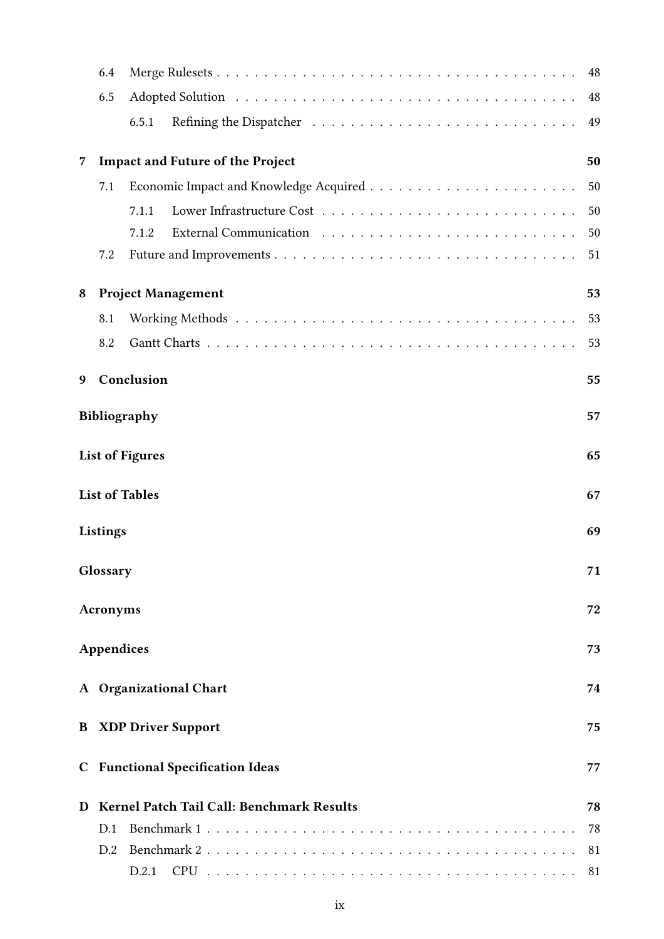|   | 6.4               |                                           | 48 |
|---|-------------------|-------------------------------------------|----|
|   | 6.5               |                                           | 48 |
|   |                   | 6.5.1                                     | 49 |
| 7 |                   | <b>Impact and Future of the Project</b>   | 50 |
|   | 7.1               |                                           | 50 |
|   |                   | 7.1.1                                     | 50 |
|   |                   | 7.1.2                                     | 50 |
|   | 7.2               |                                           | 51 |
| 8 |                   | <b>Project Management</b>                 | 53 |
|   | 8.1               |                                           | 53 |
|   | 8.2               |                                           | 53 |
| 9 |                   | Conclusion                                | 55 |
|   |                   | <b>Bibliography</b>                       | 57 |
|   |                   | <b>List of Figures</b>                    | 65 |
|   |                   | <b>List of Tables</b>                     | 67 |
|   | Listings          |                                           | 69 |
|   | Glossary          |                                           | 71 |
|   | Acronyms          |                                           | 72 |
|   | <b>Appendices</b> |                                           | 73 |
|   |                   | A Organizational Chart                    | 74 |
| B |                   | <b>XDP Driver Support</b>                 | 75 |
|   |                   | <b>C</b> Functional Specification Ideas   | 77 |
| D |                   | Kernel Patch Tail Call: Benchmark Results | 78 |
|   | D.1               |                                           | 78 |
|   | D.2               |                                           | 81 |
|   |                   | D.2.1                                     | 81 |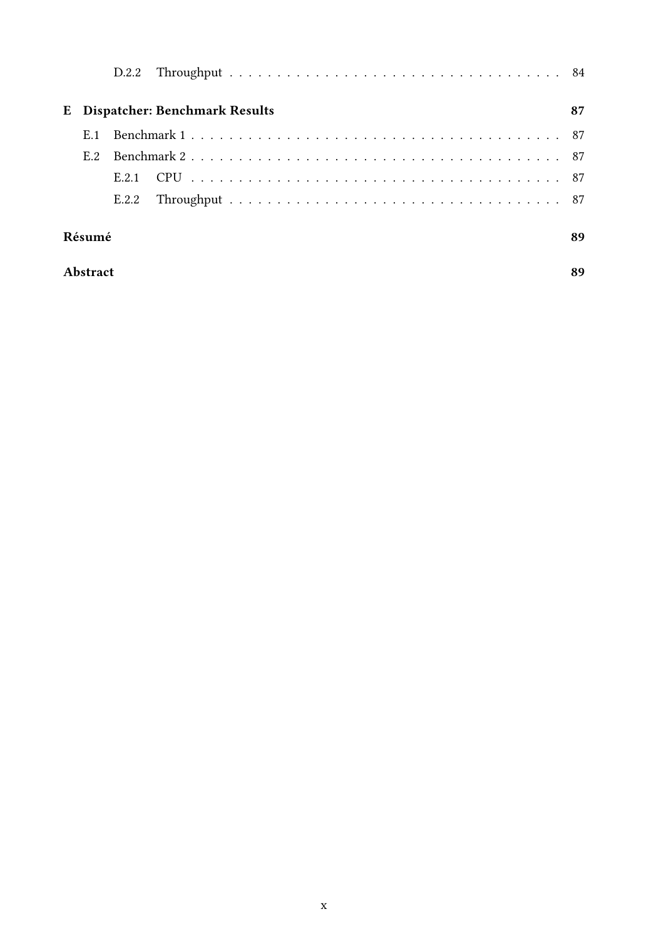|        |     |       | E Dispatcher: Benchmark Results |  |  |  |  |  |    |  |  |  |  | 87 |
|--------|-----|-------|---------------------------------|--|--|--|--|--|----|--|--|--|--|----|
|        | E.1 |       |                                 |  |  |  |  |  |    |  |  |  |  |    |
|        | E.2 |       |                                 |  |  |  |  |  |    |  |  |  |  |    |
|        |     | E.2.1 |                                 |  |  |  |  |  |    |  |  |  |  |    |
|        |     | E.2.2 |                                 |  |  |  |  |  |    |  |  |  |  |    |
| Résumé |     |       |                                 |  |  |  |  |  | 89 |  |  |  |  |    |

## Abstract 89